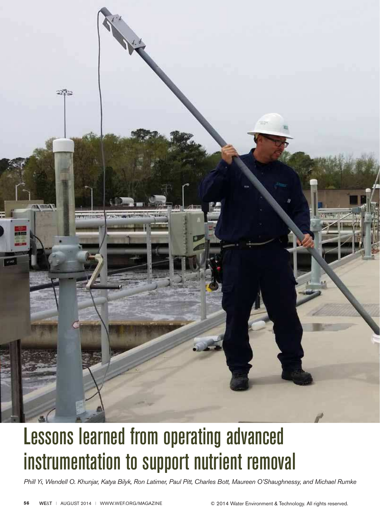

# Lessons learned from operating advanced instrumentation to support nutrient removal

Phill Yi, Wendell O. Khunjar, Katya Bilyk, Ron Latimer, Paul Pitt, Charles Bott, Maureen O'Shaughnessy, and Michael Rumke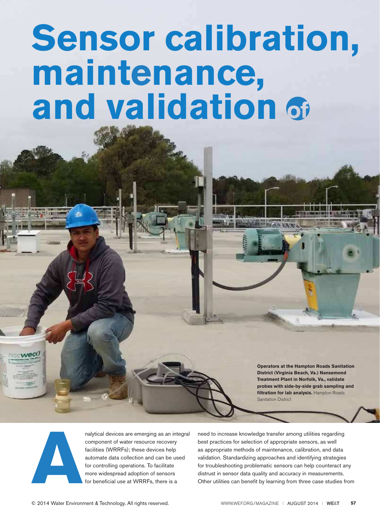# **Sensor calibration, maintenance, and validation**

**Operators at the Hampton Roads Sanitation District (Virginia Beach, Va.) Nansemond Treatment Plant in Norfolk, Va., validate probes with side-by-side grab sampling and filtration for lab analysis.** Hampton Roads Sanitation District



wec0

nalytical devices are emerging as an integral component of water resource recovery facilities (WRRFs); these devices help automate data collection and can be used for controlling operations. To facilitate more widespread adoption of sensors for beneficial use at WRRFs, there is a

need to increase knowledge transfer among utilities regarding best practices for selection of appropriate sensors, as well as appropriate methods of maintenance, calibration, and data validation. Standardizing approaches and identifying strategies for troubleshooting problematic sensors can help counteract any distrust in sensor data quality and accuracy in measurements. Other utilities can benefit by learning from three case studies from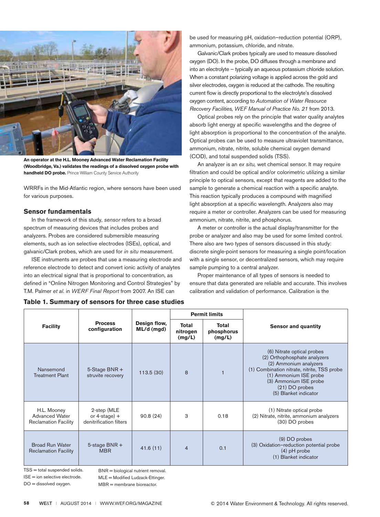

**An operator at the H.L. Mooney Advanced Water Reclamation Facility (Woodbridge, Va.) validates the readings of a dissolved oxygen probe with handheld DO probe.** Prince William County Service Authority

WRRFs in the Mid-Atlantic region, where sensors have been used for various purposes.

#### **Sensor fundamentals**

In the framework of this study, sensor refers to a broad spectrum of measuring devices that includes probes and analyzers. Probes are considered submersible measuring elements, such as ion selective electrodes (ISEs), optical, and galvanic/Clark probes, which are used for in situ measurement.

ISE instruments are probes that use a measuring electrode and reference electrode to detect and convert ionic activity of analytes into an electrical signal that is proportional to concentration, as defined in "Online Nitrogen Monitoring and Control Strategies" by T.M. Palmer et al. in WERF Final Report from 2007. An ISE can

be used for measuring pH, oxidation–reduction potential (ORP), ammonium, potassium, chloride, and nitrate.

Galvanic/Clark probes typically are used to measure dissolved oxygen (DO). In the probe, DO diffuses through a membrane and into an electrolyte — typically an aqueous potassium chloride solution. When a constant polarizing voltage is applied across the gold and silver electrodes, oxygen is reduced at the cathode. The resulting current flow is directly proportional to the electrolyte's dissolved oxygen content, according to Automation of Water Resource Recovery Facilities, WEF Manual of Practice No. 21 from 2013.

Optical probes rely on the principle that water quality analytes absorb light energy at specific wavelengths and the degree of light absorption is proportional to the concentration of the analyte. Optical probes can be used to measure ultraviolet transmittance, ammonium, nitrate, nitrite, soluble chemical oxygen demand (COD), and total suspended solids (TSS).

An analyzer is an ex situ, wet chemical sensor. It may require filtration and could be optical and/or colorimetric utilizing a similar principle to optical sensors, except that reagents are added to the sample to generate a chemical reaction with a specific analyte. This reaction typically produces a compound with magnified light absorption at a specific wavelength. Analyzers also may require a meter or controller. Analyzers can be used for measuring ammonium, nitrate, nitrite, and phosphorus.

A meter or controller is the actual display/transmitter for the probe or analyzer and also may be used for some limited control. There also are two types of sensors discussed in this study: discrete single-point sensors for measuring a single point/location with a single sensor, or decentralized sensors, which may require sample pumping to a central analyzer.

Proper maintenance of all types of sensors is needed to ensure that data generated are reliable and accurate. This involves calibration and validation of performance. Calibration is the

| <b>Facility</b>                                                     | <b>Process</b><br>configuration                           | Design flow,<br>$ML/d$ (mgd) | <b>Permit limits</b>        |                               |                                                                                                                                                                                                                                    |  |
|---------------------------------------------------------------------|-----------------------------------------------------------|------------------------------|-----------------------------|-------------------------------|------------------------------------------------------------------------------------------------------------------------------------------------------------------------------------------------------------------------------------|--|
|                                                                     |                                                           |                              | Total<br>nitrogen<br>(mg/L) | Total<br>phosphorus<br>(mg/L) | <b>Sensor and quantity</b>                                                                                                                                                                                                         |  |
| Nansemond<br><b>Treatment Plant</b>                                 | $5-Stage BNR +$<br>struvite recovery                      | 113.5(30)                    | 8                           |                               | (6) Nitrate optical probes<br>(2) Orthophosphate analyzers<br>(2) Ammonium analyzers<br>(1) Combination nitrate, nitrite, TSS probe<br>(1) Ammonium ISE probe<br>(3) Ammonium ISE probe<br>(21) DO probes<br>(5) Blanket indicator |  |
| H.L. Mooney<br><b>Advanced Water</b><br><b>Reclamation Facility</b> | 2-step (MLE<br>or 4-stage) $+$<br>denitrification filters | 90.8(24)                     | 3                           | 0.18                          | (1) Nitrate optical probe<br>(2) Nitrate, nitrite, ammonium analyzers<br>(30) DO probes                                                                                                                                            |  |
| <b>Broad Run Water</b><br><b>Reclamation Facility</b>               | 5-stage BNR $+$<br><b>MBR</b>                             | 41.6(11)                     | $\overline{4}$              | 0.1                           | (9) DO probes<br>(3) Oxidation-reduction potential probe<br>$(4)$ pH probe<br>(1) Blanket indicator                                                                                                                                |  |

**Table 1. Summary of sensors for three case studies**

TSS = total suspended solids. ISE = ion selective electrode. DO = dissolved oxygen.

BNR = biological nutrient removal.

MLE = Modified Ludzack-Ettinger.

MBR = membrane bioreactor.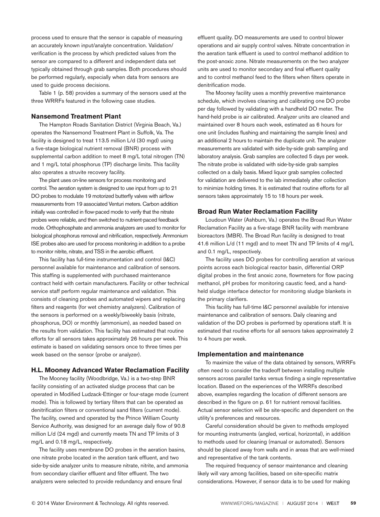process used to ensure that the sensor is capable of measuring an accurately known input/analyte concentration. Validation/ verification is the process by which predicted values from the sensor are compared to a different and independent data set typically obtained through grab samples. Both procedures should be performed regularly, especially when data from sensors are used to guide process decisions.

Table 1 (p. 58) provides a summary of the sensors used at the three WRRFs featured in the following case studies.

#### **Nansemond Treatment Plant**

The Hampton Roads Sanitation District (Virginia Beach, Va.) operates the Nansemond Treatment Plant in Suffolk, Va. The facility is designed to treat 113.5 million L/d (30 mgd) using a five-stage biological nutrient removal (BNR) process with supplemental carbon addition to meet 8 mg/L total nitrogen (TN) and 1 mg/L total phosphorus (TP) discharge limits. This facility also operates a struvite recovery facility.

The plant uses on-line sensors for process monitoring and control. The aeration system is designed to use input from up to 21 DO probes to modulate 19 motorized butterfly valves with airflow measurements from 19 associated Venturi meters. Carbon addition initially was controlled in flow-paced mode to verify that the nitrate probes were reliable, and then switched to nutrient-paced feedback mode. Orthophosphate and ammonia analyzers are used to monitor for biological phosphorus removal and nitrification, respectively. Ammonium ISE probes also are used for process monitoring in addition to a probe to monitor nitrite, nitrate, and TSS in the aerobic effluent.

This facility has full-time instrumentation and control (I&C) personnel available for maintenance and calibration of sensors. This staffing is supplemented with purchased maintenance contract held with certain manufacturers. Facility or other technical service staff perform regular maintenance and validation. This consists of cleaning probes and automated wipers and replacing filters and reagents (for wet chemistry analyzers). Calibration of the sensors is performed on a weekly/biweekly basis (nitrate, phosphorus, DO) or monthly (ammonium), as needed based on the results from validation. This facility has estimated that routine efforts for all sensors takes approximately 26 hours per week. This estimate is based on validating sensors once to three times per week based on the sensor (probe or analyzer).

#### **H.L. Mooney Advanced Water Reclamation Facility**

The Mooney facility (Woodbridge, Va.) is a two-step BNR facility consisting of an activated sludge process that can be operated in Modified Ludzack-Ettinger or four-stage mode (current mode). This is followed by tertiary filters that can be operated as denitrification filters or conventional sand filters (current mode). The facility, owned and operated by the Prince William County Service Authority, was designed for an average daily flow of 90.8 million L/d (24 mgd) and currently meets TN and TP limits of 3 mg/L and 0.18 mg/L, respectively.

The facility uses membrane DO probes in the aeration basins, one nitrate probe located in the aeration tank effluent, and two side-by-side analyzer units to measure nitrate, nitrite, and ammonia from secondary clarifier effluent and filter effluent. The two analyzers were selected to provide redundancy and ensure final

effluent quality. DO measurements are used to control blower operations and air supply control valves. Nitrate concentration in the aeration tank effluent is used to control methanol addition to the post-anoxic zone. Nitrate measurements on the two analyzer units are used to monitor secondary and final effluent quality and to control methanol feed to the filters when filters operate in denitrification mode.

The Mooney facility uses a monthly preventive maintenance schedule, which involves cleaning and calibrating one DO probe per day followed by validating with a handheld DO meter. The hand-held probe is air calibrated. Analyzer units are cleaned and maintained over 8 hours each week, estimated as 6 hours for one unit (includes flushing and maintaining the sample lines) and an additional 2 hours to maintain the duplicate unit. The analyzer measurements are validated with side-by-side grab sampling and laboratory analysis. Grab samples are collected 5 days per week. The nitrate probe is validated with side-by-side grab samples collected on a daily basis. Mixed liquor grab samples collected for validation are delivered to the lab immediately after collection to minimize holding times. It is estimated that routine efforts for all sensors takes approximately 15 to 18 hours per week.

#### **Broad Run Water Reclamation Facility**

Loudoun Water (Ashburn, Va.) operates the Broad Run Water Reclamation Facility as a five-stage BNR facility with membrane bioreactors (MBR). The Broad Run facility is designed to treat 41.6 million L/d (11 mgd) and to meet TN and TP limits of 4 mg/L and 0.1 mg/L, respectively.

The facility uses DO probes for controlling aeration at various points across each biological reactor basin, differential ORP digital probes in the first anoxic zone, flowmeters for flow pacing methanol, pH probes for monitoring caustic feed, and a handheld sludge interface detector for monitoring sludge blankets in the primary clarifiers.

This facility has full-time I&C personnel available for intensive maintenance and calibration of sensors. Daily cleaning and validation of the DO probes is performed by operations staff. It is estimated that routine efforts for all sensors takes approximately 2 to 4 hours per week.

#### **Implementation and maintenance**

To maximize the value of the data obtained by sensors, WRRFs often need to consider the tradeoff between installing multiple sensors across parallel tanks versus finding a single representative location. Based on the experiences of the WRRFs described above, examples regarding the location of different sensors are described in the figure on p. 61 for nutrient removal facilities. Actual sensor selection will be site-specific and dependent on the utility's preferences and resources.

Careful consideration should be given to methods employed for mounting instruments (angled, vertical, horizontal), in addition to methods used for cleaning (manual or automated). Sensors should be placed away from walls and in areas that are well-mixed and representative of the tank contents.

The required frequency of sensor maintenance and cleaning likely will vary among facilities, based on site-specific matrix considerations. However, if sensor data is to be used for making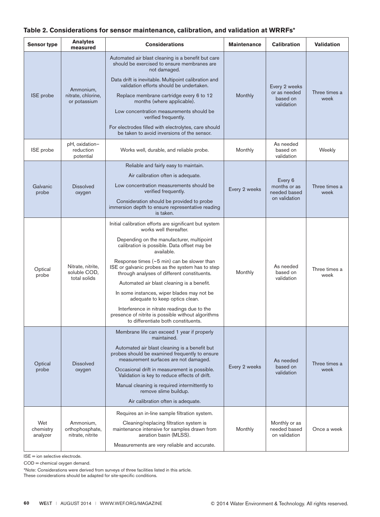## **Table 2. Considerations for sensor maintenance, calibration, and validation at WRRFs\***

| <b>Sensor type</b>           | <b>Analytes</b><br>measured                       | <b>Considerations</b>                                                                                                                                                                                                                                                                                                                                                                                                                                                                                                                                                                                                 | <b>Maintenance</b> | <b>Calibration</b>                                       | <b>Validation</b>     |
|------------------------------|---------------------------------------------------|-----------------------------------------------------------------------------------------------------------------------------------------------------------------------------------------------------------------------------------------------------------------------------------------------------------------------------------------------------------------------------------------------------------------------------------------------------------------------------------------------------------------------------------------------------------------------------------------------------------------------|--------------------|----------------------------------------------------------|-----------------------|
| <b>ISE</b> probe             | Ammonium,<br>nitrate, chlorine,<br>or potassium   | Automated air blast cleaning is a benefit but care<br>should be exercised to ensure membranes are<br>not damaged.<br>Data drift is inevitable. Multipoint calibration and<br>validation efforts should be undertaken.<br>Replace membrane cartridge every 6 to 12<br>months (where applicable).<br>Low concentration measurements should be<br>verified frequently.<br>For electrodes filled with electrolytes, care should<br>be taken to avoid inversions of the sensor.                                                                                                                                            | Monthly            | Every 2 weeks<br>or as needed<br>based on<br>validation  | Three times a<br>week |
| ISE probe                    | pH, oxidation-<br>reduction<br>potential          | Works well, durable, and reliable probe.                                                                                                                                                                                                                                                                                                                                                                                                                                                                                                                                                                              | Monthly            | As needed<br>based on<br>validation                      | Weekly                |
| Galvanic<br>probe            | <b>Dissolved</b><br>oxygen                        | Reliable and fairly easy to maintain.<br>Air calibration often is adequate.<br>Low concentration measurements should be<br>verified frequently.<br>Consideration should be provided to probe<br>immersion depth to ensure representative reading<br>is taken.                                                                                                                                                                                                                                                                                                                                                         | Every 2 weeks      | Every 6<br>months or as<br>needed based<br>on validation | Three times a<br>week |
| Optical<br>probe             | Nitrate, nitrite,<br>soluble COD,<br>total solids | Initial calibration efforts are significant but system<br>works well thereafter.<br>Depending on the manufacturer, multipoint<br>calibration is possible. Data offset may be<br>available.<br>Response times (~5 min) can be slower than<br>ISE or galvanic probes as the system has to step<br>through analyses of different constituents.<br>Automated air blast cleaning is a benefit.<br>In some instances, wiper blades may not be<br>adequate to keep optics clean.<br>Interference in nitrate readings due to the<br>presence of nitrite is possible without algorithms<br>to differentiate both constituents. | Monthly            | As needed<br>based on<br>validation                      | Three times a<br>week |
| Optical<br>probe             | <b>Dissolved</b><br>oxygen                        | Membrane life can exceed 1 year if properly<br>maintained.<br>Automated air blast cleaning is a benefit but<br>probes should be examined frequently to ensure<br>measurement surfaces are not damaged.<br>Occasional drift in measurement is possible.<br>Validation is key to reduce effects of drift.<br>Manual cleaning is required intermittently to<br>remove slime buildup.<br>Air calibration often is adequate.                                                                                                                                                                                               | Every 2 weeks      | As needed<br>based on<br>validation                      | Three times a<br>week |
| Wet<br>chemistry<br>analyzer | Ammonium,<br>orthophosphate,<br>nitrate, nitrite  | Requires an in-line sample filtration system.<br>Cleaning/replacing filtration system is<br>maintenance intensive for samples drawn from<br>aeration basin (MLSS).<br>Measurements are very reliable and accurate.                                                                                                                                                                                                                                                                                                                                                                                                    |                    | Monthly or as<br>needed based<br>on validation           | Once a week           |

ISE = ion selective electrode.

COD = chemical oxygen demand.

\*Note: Considerations were derived from surveys of three facilities listed in this article. These considerations should be adapted for site-specific conditions.